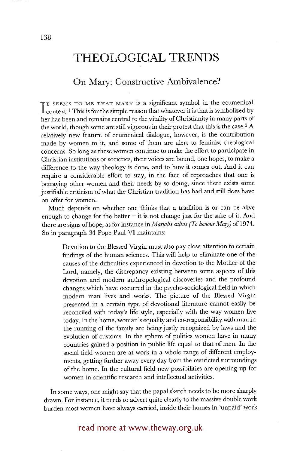# **THEOLOGICAL TRENDS**

## On Mary: Constructive Ambivalence?

T IS SEEMS TO ME THAT MARY is a significant symbol in the ecumenical context.<sup>1</sup> This is for the simple reason that whatever it is that is symbolized by her has been and remains central to the vitality of Christianity in many parts of the world, though some are still vigorous in their protest that this is the case. 2 A relatively new feature of ecumenical dialogue, however, is the contribution made by women to it, and some of them are alert to feminist theological concerns. So long as these women continue to make the effort to participate in Christian institutions or societies, their voices are bound, one hopes, to make a difference to the way theology is done, and to how it comes out. And it can require a considerable effort to stay, in the face of reproaches that one is betraying other women and their needs by so doing, since there exists some justifiable criticism of what the Christian tradition has had and still does have on offer for women.

Much depends on whether one thinks that a tradition is or can be alive enough to change for the better  $-$  it is not change just for the sake of it. And there are signs of hope, as for instance in *Marialis cultus (To honour Mary)* of 1974. So in paragraph 34 Pope Paul VI maintains:

Devotion to the Blessed Virgin must also pay close attention to certain findings of the human sciences. This will help to eliminate one of the causes of the difficulties experienced in devotion to the Mother of the Lord, namely, the discrepancy existing between some aspects of this devotion and modern anthropological discoveries and the profound changes which have occurred in the psycho-sociological field in which modern man lives and works. The picture of the Blessed Virgin presented in a certain type of devotional literature cannot easily be reconciled with today's life style, especially with the way women live today. In the home, woman's equality and co-responsibility with man in the running of the family are being justly recognized by laws and the evolution of customs. In the sphere of politics women have in many countries gained a position in public life equal to that of men. In the social field women are at work in a whole range of different employments, getting further away every day from the restricted surroundings of the home. In the cultural field new possibilities are opening up for women in scientific research and intellectual activities.

In some ways, one might say that the papal sketch needs to be more sharply drawn. For instance, it needs to advert quite clearly to the massive double work burden most women have always carried, inside their homes in 'unpaid' work

### read more at www.theway.org.uk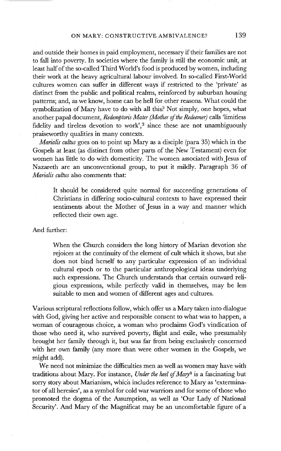and outside their homes in paid employment, necessary if their families are not to fall into poverty. In societies where the family is still the economic unit, at least half of the so-called Third World's food is produced by women, including their work at the heavy agricultural labour involved. In so-called First-World cultures women can suffer in different ways if restricted to the 'private' as distinct from the public and political realms, reinforced by suburban housing patterns; and, as we know, home can be hell for other reasons. What could the symbolization of Mary have to do with all this? Not simply, one hopes, what another papal document, *Redernptoris Mater (Mother of the Redeemer)* calls 'limitless fidelity and tireless devotion to work',<sup>3</sup> since these are not unambiguously praiseworthy qualities in many contexts.

*Marialis cultus* goes on to point up Mary as a disciple (para 35) which in the Gospels at least (as distinct from other parts of the New Testament) even for women has little to do with domesticity. The women associated with Jesus of Nazareth are an unconventional group, to put it mildly. Paragraph 36 of *Marialis cultus* also comments that:

It should be considered quite normal for succeeding generations of Christians in differing socio-cultural contexts to have expressed their sentiments about the Mother of Jesus in a way and manner which reflected their own age.

And further:

When the Church considers the long history of Marian devotion she rejoices at the continuity of the element of cult which it shows, but she does not bind herself to any particular expression of an individual cultural epoch or to the particular anthropological ideas underlying such expressions. The Church understands that certain outward religious expressions, while perfectly valid in themselves, may be less suitable to men and women of different ages and cultures.

Various scriptural reflections follow, which offer us a Mary taken into dialogue with God, giving her active and responsible consent to what was to happen, a woman of courageous choice, a woman who proclaims God's vindication of those who need it, who survived poverty, flight and exile, who presumably brought her family through it, but was far from being exclusively concerned with her own family (any more than were other women in the Gospels, we might add).

We need not minimize the difficulties men as well as women may have with traditions about Mary. For instance, *Under the heel of Mary 4* is a fascinating but sorry story about Marianism, which includes reference to Mary as 'exterminator of all heresies', as a symbol for cold war warriors and for some of those who promoted the dogma of the Assumption, as well as 'Our Lady of National Security'. And Mary of the Magnificat may be an uncomfortable figure of a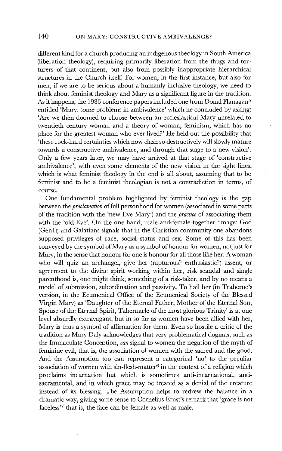different kind for a church producing an indigenous theology in South America (liberation theology), requiring primarily liberation from the thugs and torturers of that continent, but also from possibly inappropriate hierarchical structures in the Church itself. For women, in the first instance, but also for men, if we are to be serious about a humanly inclusive theology, we need to think about feminist theology and Mary as a significant figure in the tradition. As it happens, the 1986 conference papers included one from Donal Flanagan<sup>5</sup> entitled 'Mary: some problems in ambivalence' which he concluded by asking: 'Are we then doomed to choose between an ecclesiastical Mary unrelated to twentieth century woman and a theory of woman, feminism, which has no place for the greatest woman who ever lived?' He held out the possibility that 'these rock-hard certainties which now clash so destructively will slowly mature towards a constructive ambivalence, and through that stage to a new vision'. Only a few years later, we may have arrived at that stage of 'constructive ambivalence', with even some elements of the new vision in the sight lines, which is what feminist theology in the end is all about, assuming that to be feminist and to be a feminist theologian is not a contradiction in terms, of course.

One fundamental problem highlighted by feminist theology is the gap between the *proclamation* of full personhood for women (associated in some parts of the tradition with the 'new Eve-Mary') and the *practice* of associating them with the 'old Eve'. On the one hand, male-and-female together 'image' God (Genl); and Galatians signals that in the Christian community one abandons supposed privileges of race, social status and sex. Some of this has been conveyed by the symbol of Mary as a symbol of honour for women, not just for Mary, in the sense that honour for one is honour for all those like her. A woman who will quiz an archangel, give her (rapturous? enthusiastic?) assent, or agreement to the divine spirit working within her, risk scandal and single parenthood is, one might think, something of a risk-taker, and by no means a model of submission, subordination and passivity. To hail her (in Traherne's version, in the Ecumenical Office of the Ecumenical Society of the Blessed Virgin Mary) as 'Daughter of the Eternal Father, Mother of the Eternal Son, Spouse of the Eternal Spirit, Tabernacle of the most glorious Trinity' is at one level absurdly extravagant, but in so far as women have been allied with her, Mary is thus a symbol of affirmation for them. Even so hostile a critic of the tradition as Mary Daly acknowledges that very problematical dogmas, such as the Immaculate Conception, *can* signal to women the negation of the myth of feminine evil, that is, the association of women with the sacred and the good. And the Assumption too can represent a categorical 'no' to the peculiar association of women with sin-flesh-matter<sup>6</sup> in the context of a religion which proclaims incarnation but which is sometimes anti-incarnational, antisacramental, and in which grace may be treated as a denial of the creature instead of its blessing. The Assumption helps to redress the balance in a dramatic way, giving some sense to Cornelius Ernst's remark that 'grace is not faceless'<sup>7</sup> that is, the face can be female as well as male.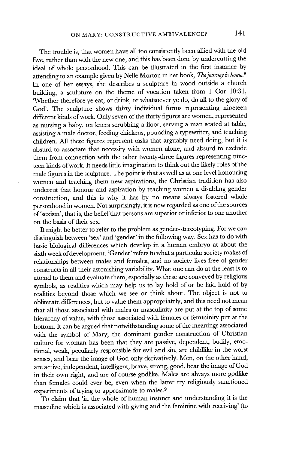The trouble is, that women have all too consistently been allied with the old Eve, rather than with the new one, and this has been done by undercutting the ideal of whole personhood. This can be illustrated in the first instance by attending to an example given by Nelle Morton in her book, *The journey is home. 8*  In one of her essays, she describes a sculpture in wood outside a church building, a sculpture on the theme of vocation taken from 1 Cor 10:31, 'Whether therefore ye eat, or drink, or whatsoever ye do, do all to the glory of God'. The sculpture shows thirty individual forms representing nineteen different kinds of work. Only seven of the thirty figures are women, represented as nursing a baby, on knees scrubbing a floor, serving a man seated at table, assisting a male doctor, feeding chickens, pounding a typewrker, and teaching children. All these figures represent tasks that arguably need doing, but it is absurd to associate that necessity with women alone, and absurd to exclude them from connection with the other twenty-three figures representing nineteen kinds of work. It needs little imagination to think out the likely roles of the male figures in the sculpture. The point is that as well as at one level honouring women and teaching them new aspirations, the Christian tradition has also undercut that honour and aspiration by teaching women a disabling gender construction, and this is why it has by no means always fostered whole personhood in women. Not surprisingly, it is now regarded as one of the sources of'sexism', that is, the belief that persons are superior or inferior to one another on the basis of their sex.

It might be better to refer to the problem as gender-stereotyping. For we can distinguish between 'sex' and 'gender' in the following way. Sex has to do with basic biological differences which develop in a human embryo at about the sixth week of development. 'Gender' refers to what a particular society makes of relationships between males and females, and no society lives free of gender constructs in all their astonishing variability. What one can do at the least is to attend to them and evaluate them, especially as these are conveyed by religious symbols, as realities which may help us to lay hold of or be laid hold of by realities beyond those which we see or think about. The object is not to obliterate differences, but to value them appropriately, and this need not mean that all those associated with males or masculinity are put at the top of some hierarchy of value, with those associated with females or femininity put at the bottom. It can be argued that notwithstanding some of the meanings associated with the symbol of Mary, the dominant gender construction of Christian culture for woman has been that they are passive, dependent, bodily, emotional, weak, peculiarly responsible for evil and sin, are childlike in the worst senses, and bear the image of God only derivatively. Men, on the other hand, are active, independent, intelligent, brave, strong, good, bear the image of God in their own right, and are of course godlike. Males are always more godlike than females could ever be, even when the latter try religiously sanctioned experiments of trying to approximate to males. 9

To claim that 'in the whole of human instinct and understanding it is the masculine which is associated with giving and the feminine with receiving' (to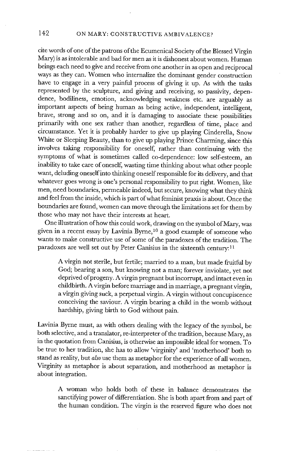cite words of one of the patrons of the Ecumenical Society of the Blessed Virgin Mary) is as intolerable and bad for men as it is dishonest about women. Human beings each need to give and receive from one another in as open and reciprocal ways as they can. Women who internalize the dominant gender construction have to engage in a very painful process of giving it up. As with the tasks represented by the sculpture, and giving and receiving, so passivity, dependence, bodiliness, emotion, acknowledging weakness etc. are arguably as important aspects of being human as being active, independent, intelligent, brave, strong and so on, and it is damaging to associate these possibilities primarily with one sex rather than another, regardless of time, place and circumstance. Yet it is probably harder to give up playing Cinderella, Snow White or Sleeping Beauty, than to give up playing Prince Charming, since this involves taking responsibility for oneself, rather than continuing with the symptoms of what is sometimes called co-dependence: low self-esteem, an inability to take care of oneself, wasting time thinking about what other people want, deluding oneself into thinking oneself responsible for its delivery, and that whatever goes wrong is one's personal responsibility to put right. Women, like men, need boundaries, permeable indeed, but secure, knowing what they think and feel from the inside, which is part of what feminist praxis is about. Once the boundaries are found, women can move through the limitations set for them by those who may not have their interests at heart.

One illustration of how this could work, drawing on the symbol of Mary, was given in a recent essay by Lavinia Byrne,<sup>10</sup> a good example of someone who wants to make constructive use of some of the paradoxes of the tradition. The paradoxes are well set out by Peter Canisius in the sixteenth century: **<sup>11</sup>**

A virgin not sterile, but fertile; married to a man, but made fruitful by God; bearing a son, but knowing not a man; forever inviolate, yet not deprived of progeny. A virgin pregnant but incorrupt, and intact even in childbirth. A virgin before marriage and in marriage, a pregnant virgin, a virgin giving suck, a perpetual virgin. A virgin without concupiscence conceiving the saviour. A virgin bearing a child in the womb without hardship, giving birth to God without pain.

Lavinia Byrne must, as with others dealing with the legacy of the symbol, be both selective, and a translator, re-interpreter of the tradition, because Mary, as in the quotation from Canisius, is otherwise an impossible ideal for women. To be true to her tradition, she has to allow 'virginity' and 'motherhood' both to stand as reality, but *also* use them as metaphor for the experience of all women. Virginity as metaphor is about separation, and motherhood as metaphor is about integration.

A woman who holds both of these in balance demonstrates the sanctifying power of differentiation. She is both apart from and part of the human condition. The virgin is the reserved figure who does not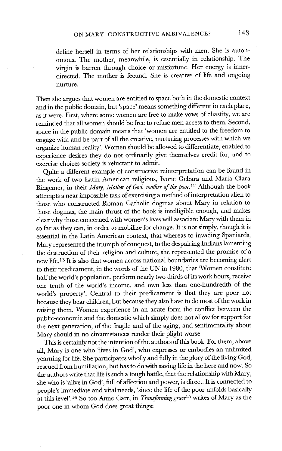define herself in terms of her relationships with men. She is autonomous. The mother, meanwhile, is essentially in relationship. The virgin is barren through choice or misfortune. Her energy is innerdirected. The mother is fecund. She is creative of life and ongoing nurture.

Then she argues that women are entitled to space both in the domestic context and in the public domain, but 'space' means something different in each place, as it were. First, where some women are free to make vows of chastity, we are reminded that all women should be free to refuse men access to them. Second, space in the public domain means that 'women are entitled to the freedom to engage with and be part of all the creative, nurturing processes with which we organize human reality'. Women should be allowed to differentiate, enabled to experience desires they do not ordinarily give themselves credit for, and to exercise choices society is reluctant to admit.

Quite a different example of constructive reinterpretation can be found in the work of two Latin American religious, Ivone Gebara and Maria Clara Bingemer, in their *Mary, Mother of God, mother of the poor.*<sup>12</sup> Although the book attempts a near impossible task of exercising a method of interpretation alien to those who constructed Roman Catholic dogmas about Mary in relation to those dogmas, the main thrust of the book is intelligible enough, and makes clear why those concerned with women's fives will associate Mary with them in so far as they can, in order to mobilize for change. It is not simply, though it is essential in the Latin American context, that whereas to invading Spaniards, Mary represented the triumph of conquest, to the despairing Indians lamenting the destruction of their religion and culture, she represented the promise of a new fife. 13 It is also that women across national boundaries are becoming alert to their predicament, in the words of the UN in 1980, that 'Women constitute half the world's population, perform nearly two thirds of its work hours, receive one tenth of the world's income, and own less than one-hundredth of the world's property'. Central to their predicament is that they are poor not because they bear children, but because they also have to do most of the work in raising them. Women experience in an acute form the conflict between the public-economic and the domestic which simply does not allow for support for the next generation, of the fragile and of the aging, and sentimentality about Mary should in no circumstances render their plight worse.

This is certainly not the intention of the authors of this book. For them, above all, Mary is one who 'lives in God', who expresses or embodies an unlimited yearning for life. She participates wholly and fully in the glory of the living God, rescued from humiliation, but has to do with saving life in the here and now. So the authors write that life is such a tough battle, that the relationship with Mary, she who is 'alive in God', full of affection and power, is direct. It is connected to people's immediate and vital needs, 'since the life of the poor unfolds basically at this level'. 14 So too Anne Carr, in *Transforming* grace 15 writes of Mary as the poor one in whom God does great things: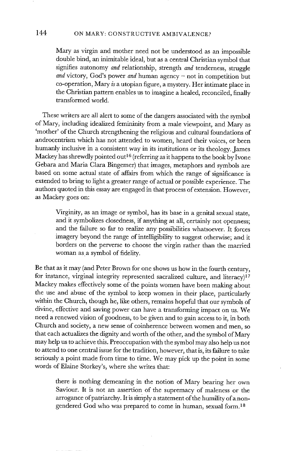Mary as virgin and mother need not be understood as an impossible double bind, an inimitable ideal, but as a central Christian symbol that signifies autonomy *and* relationship, strength *and* tenderness, struggle *and* victory, God's power *and* human agency - not in competition but co-operation, Mary is a utopian figure, a mystery. Her intimate place in the Christian pattern enables us to imagine a healed, reconciled, finally transformed world.

These writers are all alert to some of the dangers associated with the symbol of Mary, including idealized femininity from a male viewpoint, and Mary as 'mother' of the Church strengthening the religious and cultural foundations of androcentrism which has not attended to women, heard their voices, or been humanly inclusive in a consistent way in its institutions or its theology. James Mackey has shrewdly pointed out<sup>16</sup> (referring as it happens to the book by Ivone Gebara and Maria Clara Bingemer) that images, metaphors and symbols are based on some actual state of affairs from which the range of significance is extended to bring to light a greater range of actual or possible experience. The authors quoted in this essay are engaged in that process of extension. However, as Mackey goes on:

Virginity, as an image or symbol, has its base in a genital sexual state, and it symbolizes closedness, if anything at all, certainly not openness; and the failure so far to realize any possibilities whatsoever. It forces imagery beyond the range of intelligibility to suggest otherwise; and it borders on the perverse to choose the virgin rather than the married woman as a symbol of fidelity.

Be that as it may (and Peter Brown for one shows us how in the fourth century, for instance, virginal integrity represented sacralized culture, and literacy)<sup>17</sup> Mackey makes effectively some of the points women have been making about the use and abuse of the symbol to keep women in their place, particularly within the Church, though he, like others, remains hopeful that our symbols of divine, effective and saving power can have a transforming impact on us. We need a renewed vision of goodness, to be given and to gain access to it, in both Church and society, a new sense of coinherence between women and men, so that each actualizes the dignity and worth of the other, and the symbol of Mary may help us to achieve this. Preoccupation with the symbol may also help us not to attend to one central issue for the tradition, however, that is, its failure to take seriously a point made from time to time. We may pick up the point in some words of Elaine Storkey's, where she writes that:

there is nothing demeaning in the notion of Mary bearing her own Saviour. It is not an assertion of the supremacy of maleness or the arrogance of patriarchy. It is simply a statement of the humility of a nongendered God who was prepared to come in human, sexual form.<sup>18</sup>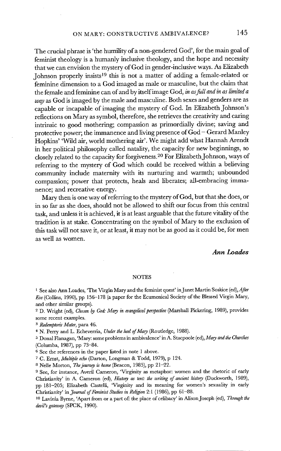The crucial phrase is 'the humility of a non-gendered God', for the main goal of feminist theology is a humanly inclusive theology, and the hope and necessity that we can envision the mystery of God in gender-inclusive ways. As Elizabeth Johnson properly insists<sup>19</sup> this is not a matter of adding a female-related or feminine dimension to a God imaged as male or masculine, but the claim that the female and feminine can of and by itself image God, *in asfuUandin as limiteda way* as God is imaged by the male and masculine. Both sexes and genders are as capable or incapable of imaging the mystery of God. In Elizabeth Johnson's reflections on Mary as symbol, therefore, she retrieves the creativity and caring intrinsic to good mothering; compassion as primordially divine; saving and protective power; the immanence and living presence of God- Gerard Manley Hopkins' 'Wild air, world mothering air'. We might add what Hannah Arendt in her political philosophy called natality, the capacity for new beginnings, so closely related to the capacity for forgiveness.<sup>20</sup> For Elizabeth Johnson, ways of referring to the mystery of God which could be received within a believing community include maternity with its nurturing and warmth; unbounded compassion; power that protects, heals and liberates; all-embracing immanence; and recreative energy.

Mary then is one way of referring to the mystery of God, but that she does, or in so far as she does, should not be allowed to shift our focus from this central task, and unless it is achieved, it is at least arguable that the future vitality of the tradition is at stake. Concentrating on the symbol of Mary to the exclusion of this task will not save it, or at least, it may not be as good as it could be, for men as well as women.

#### *Ann Loades*

#### **NOTES**

<sup>1</sup> See also Ann Loades, 'The Virgin Mary and the feminist quest' in Janet Martin Soskice (ed), After *Eve* (Collins, 1990), pp 156-178 (a paper for the Ecumenical Society of the Blessed Virgin Mary, and other similar groups).

<sup>2</sup> D. Wright (ed), *Chosen by God: Mary in evangelical perspective* (Marshall Pickering, 1989), provides some recent examples.

*3 Redemptoris Mater,* para 46.

<sup>4</sup> N. Perry and L. Echeverria, *Under the heel of Mary* (Routledge, 1988).

<sup>5</sup> Donal Flanagan, 'Mary: some problems in ambivalence' in A. Stacpoole (ed), Mary and the Churches (Columba, 1987), pp 73-84.

6 See the references in the paper listed in note 1 above.

7 C. Ernst, *Multiple echo* (Darton, Longman & Todd, 1979), p 124.

<sup>8</sup> Nelle Morton, *The journey is home* (Beacon, 1985), pp 21-22.

9 See, for instance, Averil Cameron, 'Virginity as metaphor: women and the rhetoric of early Christianity' in A. Cameron (ed), *History as text: the writing of ancient history* (Duckworth, 1989), pp 181-205; Elizabeth Castelli, 'Virginity and its meaning for women's sexuality in early Christianity' in *Journal of Feminist Studies in Religion* 2:1 (1986), pp 61-88.

10 Lavinia Byrne, 'Apart from or a part of." the place of celibacy' in Alison Joseph (ed), *Through the devil's gateway* (SPCK, 1990).